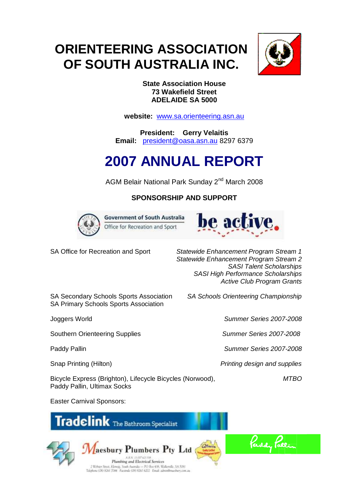# **ORIENTEERING ASSOCIATION OF SOUTH AUSTRALIA INC.**



## **State Association House 73 Wakefield Street ADELAIDE SA 5000**

**website:** [www.sa.orienteering.asn.au](http://www.sa.orienteering.asn.au/)

**President: Gerry Velaitis Email:** [president@oasa.asn.au](mailto:president@oasa.asn.au) 8297 6379

# **2007 ANNUAL REPORT**

AGM Belair National Park Sunday 2nd March 2008

## **SPONSORSHIP AND SUPPORT**



**Government of South Australia** Office for Recreation and Sport



SA Office for Recreation and Sport *Statewide Enhancement Program Stream 1 Statewide Enhancement Program Stream 2 SASI Talent Scholarships SASI High Performance Scholarships Active Club Program Grants*

SA Secondary Schools Sports Association *SA Schools Orienteering Championship* SA Primary Schools Sports Association

Joggers World *Summer Series 2007-2008*

Southern Orienteering Supplies *Summer Series 2007-2008*

Paddy Pallin *Summer Series 2007-2008*

Snap Printing (Hilton) *Printing design and supplies*

Bicycle Express (Brighton), Lifecycle Bicycles (Norwood), *MTBO* Paddy Pallin, Ultimax Socks

Easter Carnival Sponsors:





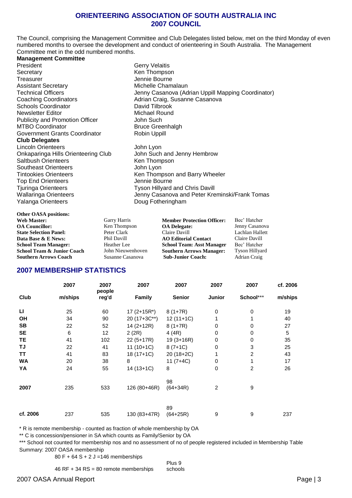#### **ORIENTEERING ASSOCIATION OF SOUTH AUSTRALIA INC 2007 COUNCIL**

The Council, comprising the Management Committee and Club Delegates listed below, met on the third Monday of even numbered months to oversee the development and conduct of orienteering in South Australia. The Management Committee met in the odd numbered months.

#### **Management Committee**

President Gerry Velaitis Secretary **Ken** Thompson Treasurer **Internal Community** Senate Bourne Assistant Secretary **Michelle Chamalaun** Coaching Coordinators **Adrian Craig, Susanne Casanova** Schools Coordinator **David Tilbrook**<br>
Newsletter Editor **David Tilbrook**<br>
Michael Round Newsletter Editor Michael Rounder<br>
Publicity and Promotion Officer<br>
Obln Such Publicity and Promotion Officer<br>MTBO Coordinator Government Grants Coordinator **Club Delegates** Lincoln Orienteers John Lyon Onkaparinga Hills Orienteering Club John Such and Jenny Hembrow Saltbush Orienteers **Ken Thompson** Southeast Orienteers **Southeast Orienteers** John Lyon Tintookies Orienteers **Ken Thompson and Barry Wheeler** Top End Orienteers<br>
Tiuringa Orienteers<br>
Tyson Hillyard Yalanga Orienteers **Doug Fotheringham** 

**Other OASA positions:**

Technical Officers **Technical Officers** Jenny Casanova (Adrian Uppill Mapping Coordinator) Bruce Greenhalgh<br>Robin Uppill Tyson Hillyard and Chris Davill

Wallaringa Orienteers **Mature 2018** Jenny Casanova and Peter Kreminski/Frank Tomas

| <b>Web Master:</b>            | Garry Harris      | <b>Member Protection Officer:</b> | Bec' Hatcher          |
|-------------------------------|-------------------|-----------------------------------|-----------------------|
| <b>OA Councillor:</b>         | Ken Thompson      | <b>OA</b> Delegate:               | Jenny Casanova        |
| <b>State Selection Panel:</b> | Peter Clark       | Claire Davill                     | Lachlan Hallett       |
| Data Base & E News:           | Phil Davill       | <b>AO Editorial Contact</b>       | Claire Davill         |
| <b>School Team Manager:</b>   | Heather Lee       | <b>School Team: Asst Manager</b>  | Bec' Hatcher          |
| School Team & Junior Coach    | John Nieuwenhoven | <b>Southern Arrows Manager:</b>   | <b>Tyson Hillyard</b> |
| <b>Southern Arrows Coach</b>  | Susanne Casanova  | <b>Sub-Junior Coach:</b>          | Adrian Craig          |
|                               |                   |                                   |                       |

## **2007 MEMBERSHIP STATISTICS**

|              | 2007    | 2007<br>people  | 2007             | 2007             | 2007        | 2007           | cf. 2006   |
|--------------|---------|-----------------|------------------|------------------|-------------|----------------|------------|
| Club         | m/ships | reg'd           | Family           | <b>Senior</b>    | Junior      | School***      | m/ships    |
| $\mathbf{L}$ | 25      | 60              | $17(2+15R^*)$    | $8(1+7R)$        | $\mathbf 0$ | 0              | 19         |
| OH           | 34      | 90              | $20(17+3C^{**})$ | $12(11+1C)$      |             |                | 40         |
| <b>SB</b>    | 22      | 52              | 14 (2+12R)       | $8(1+7R)$        | 0           | 0              | 27         |
| <b>SE</b>    | 6       | 12 <sup>2</sup> | 2(2R)            | 4(4R)            | 0           | 0              | $\sqrt{5}$ |
| TE           | 41      | 102             | $22(5+17R)$      | $19(3+16R)$      | 0           | $\pmb{0}$      | 35         |
| TJ           | 22      | 41              | $11(10+1C)$      | $8(7+1C)$        | 0           | 3              | 25         |
| TT           | 41      | 83              | 18 (17+1C)       | 20 (18+2C)       |             | $\overline{2}$ | 43         |
| <b>WA</b>    | 20      | 38              | 8                | $11 (7+4C)$      | 0           | 1              | 17         |
| YA           | 24      | 55              | $14(13+1C)$      | 8                | 0           | 2              | 26         |
| 2007         | 235     | 533             | 126 (80+46R)     | 98<br>$(64+34R)$ | 2           | 9              |            |
| cf. 2006     | 237     | 535             | 130 (83+47R)     | 89<br>$(64+25R)$ | 9           | 9              | 237        |

\* R is remote membership - counted as fraction of whole membership by OA

\*\* C is concession/pensioner in SA which counts as Family/Senior by OA

\*\*\* School not counted for membership nos and no assessment of no of people registered included in Membership Table Summary: 2007 OASA membership

80 F + 64 S + 2 J =146 memberships

Plus 9 schools

46 RF + 34 RS = 80 remote memberships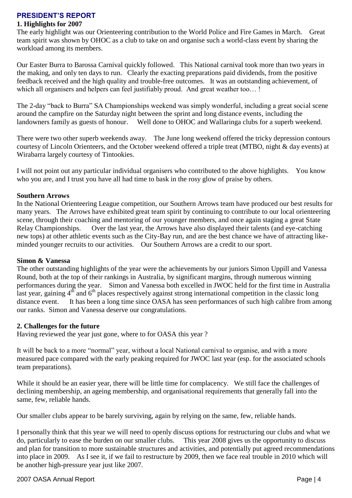## **PRESIDENT'S REPORT**

## **1. Highlights for 2007**

The early highlight was our Orienteering contribution to the World Police and Fire Games in March. Great team spirit was shown by OHOC as a club to take on and organise such a world-class event by sharing the workload among its members.

Our Easter Burra to Barossa Carnival quickly followed. This National carnival took more than two years in the making, and only ten days to run. Clearly the exacting preparations paid dividends, from the positive feedback received and the high quality and trouble-free outcomes. It was an outstanding achievement, of which all organisers and helpers can feel justifiably proud. And great weather too...!

The 2-day "back to Burra" SA Championships weekend was simply wonderful, including a great social scene around the campfire on the Saturday night between the sprint and long distance events, including the landowners family as guests of honour. Well done to OHOC and Wallaringa clubs for a superb weekend.

There were two other superb weekends away. The June long weekend offered the tricky depression contours courtesy of Lincoln Orienteers, and the October weekend offered a triple treat (MTBO, night & day events) at Wirabarra largely courtesy of Tintookies.

I will not point out any particular individual organisers who contributed to the above highlights. You know who you are, and I trust you have all had time to bask in the rosy glow of praise by others.

### **Southern Arrows**

In the National Orienteering League competition, our Southern Arrows team have produced our best results for many years. The Arrows have exhibited great team spirit by continuing to contribute to our local orienteering scene, through their coaching and mentoring of our younger members, and once again staging a great State Relay Championships. Over the last year, the Arrows have also displayed their talents (and eye-catching new tops) at other athletic events such as the City-Bay run, and are the best chance we have of attracting likeminded younger recruits to our activities. Our Southern Arrows are a credit to our sport.

#### **Simon & Vanessa**

The other outstanding highlights of the year were the achievements by our juniors Simon Uppill and Vanessa Round, both at the top of their rankings in Australia, by significant margins, through numerous winning performances during the year. Simon and Vanessa both excelled in JWOC held for the first time in Australia last year, gaining  $4<sup>th</sup>$  and  $6<sup>th</sup>$  places respectively against strong international competition in the classic long distance event. It has been a long time since OASA has seen performances of such high calibre from among our ranks. Simon and Vanessa deserve our congratulations.

## **2. Challenges for the future**

Having reviewed the year just gone, where to for OASA this year ?

It will be back to a more "normal" year, without a local National carnival to organise, and with a more measured pace compared with the early peaking required for JWOC last year (esp. for the associated schools team preparations).

While it should be an easier year, there will be little time for complacency. We still face the challenges of declining membership, an ageing membership, and organisational requirements that generally fall into the same, few, reliable hands.

Our smaller clubs appear to be barely surviving, again by relying on the same, few, reliable hands.

I personally think that this year we will need to openly discuss options for restructuring our clubs and what we do, particularly to ease the burden on our smaller clubs. This year 2008 gives us the opportunity to discuss and plan for transition to more sustainable structures and activities, and potentially put agreed recommendations into place in 2009. As I see it, if we fail to restructure by 2009, then we face real trouble in 2010 which will be another high-pressure year just like 2007.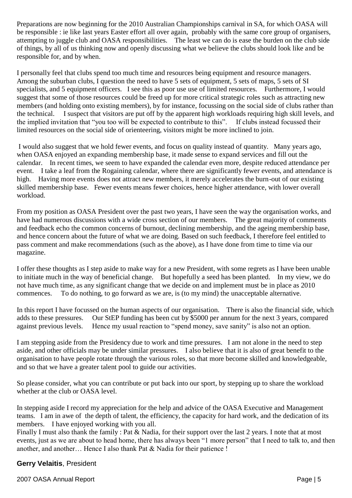Preparations are now beginning for the 2010 Australian Championships carnival in SA, for which OASA will be responsible : ie like last years Easter effort all over again, probably with the same core group of organisers, attempting to juggle club and OASA responsibilities. The least we can do is ease the burden on the club side of things, by all of us thinking now and openly discussing what we believe the clubs should look like and be responsible for, and by when.

I personally feel that clubs spend too much time and resources being equipment and resource managers. Among the suburban clubs, I question the need to have 5 sets of equipment, 5 sets of maps, 5 sets of SI specialists, and 5 equipment officers. I see this as poor use use of limited resources. Furthermore, I would suggest that some of those resources could be freed up for more critical strategic roles such as attracting new members (and holding onto existing members), by for instance, focussing on the social side of clubs rather than the technical. I suspect that visitors are put off by the apparent high workloads requiring high skill levels, and the implied invitation that "you too will be expected to contribute to this". If clubs instead focussed their limited resources on the social side of orienteering, visitors might be more inclined to join.

I would also suggest that we hold fewer events, and focus on quality instead of quantity. Many years ago, when OASA enjoyed an expanding membership base, it made sense to expand services and fill out the calendar. In recent times, we seem to have expanded the calendar even more, despite reduced attendance per event. I take a leaf from the Rogaining calendar, where there are significantly fewer events, and attendance is high. Having more events does not attract new members, it merely accelerates the burn-out of our existing skilled membership base. Fewer events means fewer choices, hence higher attendance, with lower overall workload.

From my position as OASA President over the past two years, I have seen the way the organisation works, and have had numerous discussions with a wide cross section of our members. The great majority of comments and feedback echo the common concerns of burnout, declining membership, and the ageing membership base, and hence concern about the future of what we are doing. Based on such feedback, I therefore feel entitled to pass comment and make recommendations (such as the above), as I have done from time to time via our magazine.

I offer these thoughts as I step aside to make way for a new President, with some regrets as I have been unable to initiate much in the way of beneficial change. But hopefully a seed has been planted. In my view, we do not have much time, as any significant change that we decide on and implement must be in place as 2010 commences. To do nothing, to go forward as we are, is (to my mind) the unacceptable alternative.

In this report I have focussed on the human aspects of our organisation. There is also the financial side, which adds to these pressures. Our StEP funding has been cut by \$5000 per annum for the next 3 years, compared against previous levels. Hence my usual reaction to "spend money, save sanity" is also not an option.

I am stepping aside from the Presidency due to work and time pressures. I am not alone in the need to step aside, and other officials may be under similar pressures. I also believe that it is also of great benefit to the organisation to have people rotate through the various roles, so that more become skilled and knowledgeable, and so that we have a greater talent pool to guide our activities.

So please consider, what you can contribute or put back into our sport, by stepping up to share the workload whether at the club or OASA level.

In stepping aside I record my appreciation for the help and advice of the OASA Executive and Management teams. I am in awe of the depth of talent, the efficiency, the capacity for hard work, and the dedication of its members. I have enjoyed working with you all.

Finally I must also thank the family : Pat & Nadia, for their support over the last 2 years. I note that at most events, just as we are about to head home, there has always been "1 more person" that I need to talk to, and then another, and another… Hence I also thank Pat & Nadia for their patience !

## **Gerry Velaitis**, President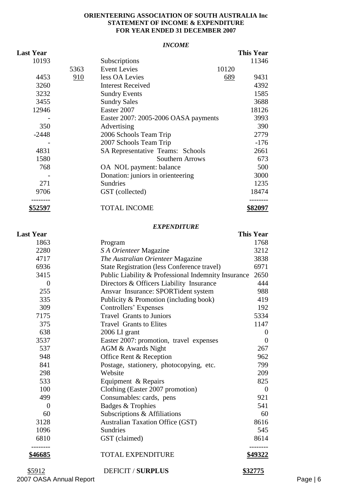#### **ORIENTEERING ASSOCIATION OF SOUTH AUSTRALIA Inc STATEMENT OF INCOME & EXPENDITURE FOR YEAR ENDED 31 DECEMBER 2007**

#### *INCOME*

| <b>Last Year</b> |      |                                         | <b>This Year</b> |
|------------------|------|-----------------------------------------|------------------|
| 10193            |      | Subscriptions                           | 11346            |
|                  | 5363 | <b>Event Levies</b><br>10120            |                  |
| 4453             | 910  | less OA Levies<br>689                   | 9431             |
| 3260             |      | <b>Interest Received</b>                | 4392             |
| 3232             |      | <b>Sundry Events</b>                    | 1585             |
| 3455             |      | <b>Sundry Sales</b>                     | 3688             |
| 12946            |      | Easter 2007                             | 18126            |
|                  |      | Easter 2007: 2005-2006 OASA payments    | 3993             |
| 350              |      | Advertising                             | 390              |
| $-2448$          |      | 2006 Schools Team Trip                  | 2779             |
|                  |      | 2007 Schools Team Trip                  | $-176$           |
| 4831             |      | <b>SA Representative Teams: Schools</b> | 2661             |
| 1580             |      | Southern Arrows                         | 673              |
| 768              |      | OA NOL payment: balance                 | 500              |
|                  |      | Donation: juniors in orienteering       | 3000             |
| 271              |      | Sundries                                | 1235             |
| 9706             |      | GST (collected)                         | 18474            |
| \$52597          |      | <b>TOTAL INCOME</b>                     | \$82097          |

#### *EXPENDITURE*

| <b>Last Year</b> |                                                     | <b>This Year</b> |
|------------------|-----------------------------------------------------|------------------|
| 1863             | Program                                             | 1768             |
| 2280             | S A Orienteer Magazine                              | 3212             |
| 4717             | The Australian Orienteer Magazine                   | 3838             |
| 6936             | <b>State Registration (less Conference travel)</b>  | 6971             |
| 3415             | Public Liability & Professional Indemnity Insurance | 2650             |
| $\overline{0}$   | Directors & Officers Liability Insurance            | 444              |
| 255              | Ansvar Insurance: SPORTident system                 | 988              |
| 335              | Publicity & Promotion (including book)              | 419              |
| 309              | Controllers' Expenses                               | 192              |
| 7175             | <b>Travel Grants to Juniors</b>                     | 5334             |
| 375              | <b>Travel Grants to Elites</b>                      | 1147             |
| 638              | 2006 LI grant                                       | $\Omega$         |
| 3537             | Easter 2007: promotion, travel expenses             | $\theta$         |
| 537              | AGM & Awards Night                                  | 267              |
| 948              | Office Rent & Reception                             | 962              |
| 841              | Postage, stationery, photocopying, etc.             | 799              |
| 298              | Website                                             | 209              |
| 533              | Equipment & Repairs                                 | 825              |
| 100              | Clothing (Easter 2007 promotion)                    | $\theta$         |
| 499              | Consumables: cards, pens                            | 921              |
| $\boldsymbol{0}$ | Badges & Trophies                                   | 541              |
| 60               | Subscriptions & Affiliations                        | 60               |
| 3128             | <b>Australian Taxation Office (GST)</b>             | 8616             |
| 1096             | <b>Sundries</b>                                     | 545              |
| 6810             | GST (claimed)                                       | 8614             |
| \$46685          | <b>TOTAL EXPENDITURE</b>                            | \$49322          |
| \$5912           | <b>DEFICIT / SURPLUS</b>                            | \$32775          |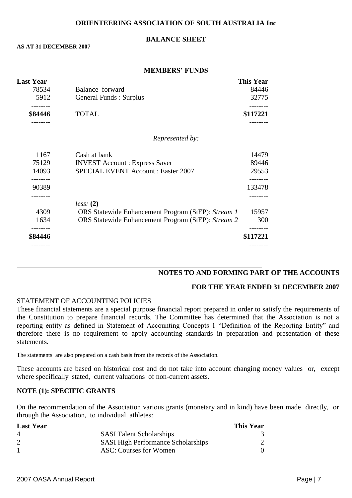#### **ORIENTEERING ASSOCIATION OF SOUTH AUSTRALIA Inc**

#### **BALANCE SHEET**

#### **AS AT 31 DECEMBER 2007**

#### **MEMBERS' FUNDS**

| <b>Last Year</b> |                                                    | <b>This Year</b> |
|------------------|----------------------------------------------------|------------------|
| 78534            | Balance forward                                    | 84446            |
| 5912             | <b>General Funds: Surplus</b>                      | 32775            |
| \$84446          | <b>TOTAL</b>                                       | \$117221         |
|                  | Represented by:                                    |                  |
| 1167             | Cash at bank                                       | 14479            |
| 75129            | <b>INVEST Account: Express Saver</b>               | 89446            |
| 14093            | <b>SPECIAL EVENT Account: Easter 2007</b>          | 29553            |
| 90389            |                                                    | 133478           |
|                  | less: (2)                                          |                  |
| 4309             | ORS Statewide Enhancement Program (StEP): Stream 1 | 15957            |
| 1634             | ORS Statewide Enhancement Program (StEP): Stream 2 | 300              |
| \$84446          |                                                    | \$117221         |
|                  |                                                    |                  |

## **NOTES TO AND FORMING PART OF THE ACCOUNTS**

#### **FOR THE YEAR ENDED 31 DECEMBER 2007**

#### STATEMENT OF ACCOUNTING POLICIES

These financial statements are a special purpose financial report prepared in order to satisfy the requirements of the Constitution to prepare financial records. The Committee has determined that the Association is not a reporting entity as defined in Statement of Accounting Concepts 1 "Definition of the Reporting Entity" and therefore there is no requirement to apply accounting standards in preparation and presentation of these statements.

The statements are also prepared on a cash basis from the records of the Association.

These accounts are based on historical cost and do not take into account changing money values or, except where specifically stated, current valuations of non-current assets.

#### **NOTE (1): SPECIFIC GRANTS**

On the recommendation of the Association various grants (monetary and in kind) have been made directly, or through the Association, to individual athletes:

| <b>Last Year</b> |                                           | <b>This Year</b> |
|------------------|-------------------------------------------|------------------|
| 4                | <b>SASI</b> Talent Scholarships           |                  |
|                  | <b>SASI High Performance Scholarships</b> |                  |
|                  | ASC: Courses for Women                    |                  |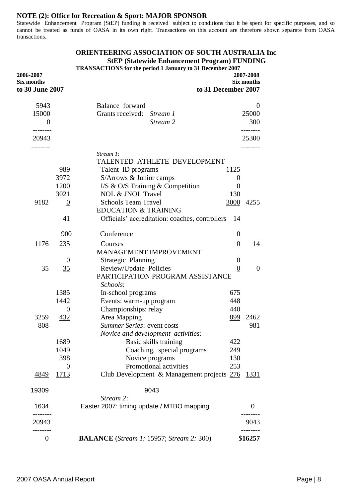#### **NOTE (2): Office for Recreation & Sport: MAJOR SPONSOR**

Statewide Enhancement Program (StEP) funding is received subject to conditions that it be spent for specific purposes, and so cannot be treated as funds of OASA in its own right. Transactions on this account are therefore shown separate from OASA transactions.

#### **ORIENTEERING ASSOCIATION OF SOUTH AUSTRALIA Inc StEP (Statewide Enhancement Program) FUNDING**

 **TRANSACTIONS for the period 1 January to 31 December 2007**

| 2007-2008<br>Six months | to 31 December 2007 |                                                                                   |                  | 2006-2007<br>Six months<br>to 30 June 2007 |
|-------------------------|---------------------|-----------------------------------------------------------------------------------|------------------|--------------------------------------------|
| $\Omega$                |                     | Balance forward                                                                   |                  | 5943                                       |
| 25000                   |                     | Grants received:<br>Stream 1                                                      |                  | 15000                                      |
| 300                     |                     | Stream 2                                                                          |                  | $\theta$<br>. <u>.</u> .                   |
| 25300                   |                     |                                                                                   |                  | 20943                                      |
|                         |                     | Stream 1:                                                                         |                  |                                            |
|                         |                     | TALENTED ATHLETE DEVELOPMENT                                                      |                  |                                            |
|                         | 1125                | Talent ID programs                                                                | 989              |                                            |
|                         | $\boldsymbol{0}$    | S/Arrows & Junior camps                                                           | 3972             |                                            |
|                         | $\boldsymbol{0}$    | I/S & O/S Training & Competition                                                  | 1200             |                                            |
|                         | 130                 | <b>NOL &amp; JNOL Travel</b>                                                      | 3021             |                                            |
| 4255                    | 3000                | <b>Schools Team Travel</b>                                                        | $\boldsymbol{0}$ | 9182                                       |
|                         | 14                  | <b>EDUCATION &amp; TRAINING</b><br>Officials' accreditation: coaches, controllers | 41               |                                            |
|                         | $\boldsymbol{0}$    | Conference                                                                        | 900              |                                            |
| 14                      | $\boldsymbol{0}$    | Courses                                                                           | 235              | 1176                                       |
|                         |                     | MANAGEMENT IMPROVEMENT                                                            |                  |                                            |
|                         | $\boldsymbol{0}$    | Strategic Planning                                                                | $\theta$         |                                            |
| $\theta$                | $\boldsymbol{0}$    | Review/Update Policies                                                            | 35               | 35                                         |
|                         |                     | PARTICIPATION PROGRAM ASSISTANCE                                                  |                  |                                            |
|                         |                     | Schools:                                                                          |                  |                                            |
|                         | 675                 | In-school programs                                                                | 1385             |                                            |
|                         | 448                 | Events: warm-up program                                                           | 1442             |                                            |
|                         | 440                 | Championships: relay                                                              | 0                |                                            |
| 2462                    | 899                 | Area Mapping                                                                      | 432              | 3259                                       |
| 981                     |                     | Summer Series: event costs                                                        |                  | 808                                        |
|                         |                     | Novice and development activities:                                                |                  |                                            |
|                         | 422                 | Basic skills training                                                             | 1689             |                                            |
|                         | 249                 | Coaching, special programs                                                        | 1049             |                                            |
|                         | 130                 | Novice programs                                                                   | 398              |                                            |
|                         | 253                 | Promotional activities                                                            | 0                |                                            |
| 1331                    |                     | Club Development & Management projects 276                                        | 1713             | 4849                                       |
|                         |                     | 9043                                                                              |                  | 19309                                      |
| 0                       |                     | Stream 2:<br>Easter 2007: timing update / MTBO mapping                            |                  | 1634                                       |
| 9043                    |                     |                                                                                   |                  | 20943                                      |
|                         |                     |                                                                                   |                  |                                            |
| \$16257                 |                     | <b>BALANCE</b> (Stream 1: 15957; Stream 2: 300)                                   |                  | $\boldsymbol{0}$                           |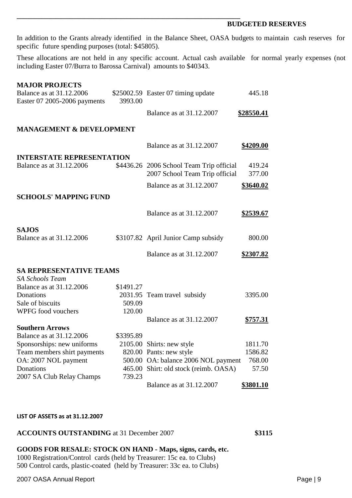#### **BUDGETED RESERVES**

In addition to the Grants already identified in the Balance Sheet, OASA budgets to maintain cash reserves for specific future spending purposes (total: \$45805).

**\_\_\_\_\_\_\_\_\_\_\_\_\_\_\_\_\_\_\_\_\_\_\_\_\_\_\_\_\_\_\_\_\_\_\_\_\_\_\_\_\_\_\_\_\_\_\_\_\_\_\_\_\_\_\_\_\_\_\_\_\_\_\_**

These allocations are not held in any specific account. Actual cash available for normal yearly expenses (not including Easter 07/Burra to Barossa Carnival) amounts to \$40343.

| <b>MAJOR PROJECTS</b>               |           |                                                                            |                   |
|-------------------------------------|-----------|----------------------------------------------------------------------------|-------------------|
| Balance as at 31.12.2006            |           | \$25002.59 Easter 07 timing update                                         | 445.18            |
| Easter 07 2005-2006 payments        | 3993.00   |                                                                            |                   |
|                                     |           | Balance as at 31.12.2007                                                   | <u>\$28550.41</u> |
|                                     |           |                                                                            |                   |
| <b>MANAGEMENT &amp; DEVELOPMENT</b> |           |                                                                            |                   |
|                                     |           | Balance as at 31.12.2007                                                   | \$4209.00         |
|                                     |           |                                                                            |                   |
| <b>INTERSTATE REPRESENTATION</b>    |           |                                                                            |                   |
| <b>Balance as at 31.12.2006</b>     |           | \$4436.26 2006 School Team Trip official<br>2007 School Team Trip official | 419.24<br>377.00  |
|                                     |           |                                                                            |                   |
|                                     |           | Balance as at 31.12.2007                                                   | \$3640.02         |
| <b>SCHOOLS' MAPPING FUND</b>        |           |                                                                            |                   |
|                                     |           |                                                                            |                   |
|                                     |           | Balance as at 31.12.2007                                                   | \$2539.67         |
|                                     |           |                                                                            |                   |
| <b>SAJOS</b>                        |           |                                                                            |                   |
| Balance as at 31.12.2006            |           | \$3107.82 April Junior Camp subsidy                                        | 800.00            |
|                                     |           |                                                                            |                   |
|                                     |           | Balance as at 31.12.2007                                                   | \$2307.82         |
| <b>SA REPRESENTATIVE TEAMS</b>      |           |                                                                            |                   |
| <b>SA Schools Team</b>              |           |                                                                            |                   |
| Balance as at 31.12.2006            | \$1491.27 |                                                                            |                   |
| Donations                           |           | 2031.95 Team travel subsidy                                                | 3395.00           |
| Sale of biscuits                    | 509.09    |                                                                            |                   |
| WPFG food vouchers                  | 120.00    |                                                                            |                   |
|                                     |           | Balance as at 31.12.2007                                                   | \$757.31          |
| <b>Southern Arrows</b>              |           |                                                                            |                   |
| Balance as at 31.12.2006            | \$3395.89 |                                                                            |                   |
| Sponsorships: new uniforms          |           | 2105.00 Shirts: new style                                                  | 1811.70           |
| Team members shirt payments         |           | 820.00 Pants: new style                                                    | 1586.82           |
| OA: 2007 NOL payment                |           | 500.00 OA: balance 2006 NOL payment                                        | 768.00            |
| Donations                           |           | 465.00 Shirt: old stock (reimb. OASA)                                      | 57.50             |
| 2007 SA Club Relay Champs           | 739.23    |                                                                            |                   |
|                                     |           | Balance as at 31.12.2007                                                   | \$3801.10         |

#### **LIST OF ASSETS as at 31.12.2007**

#### **ACCOUNTS OUTSTANDING** at 31 December 2007 **\$3115**

**GOODS FOR RESALE: STOCK ON HAND - Maps, signs, cards, etc.** 1000 Registration/Control cards (held by Treasurer: 15c ea. to Clubs) 500 Control cards, plastic-coated (held by Treasurer: 33c ea. to Clubs)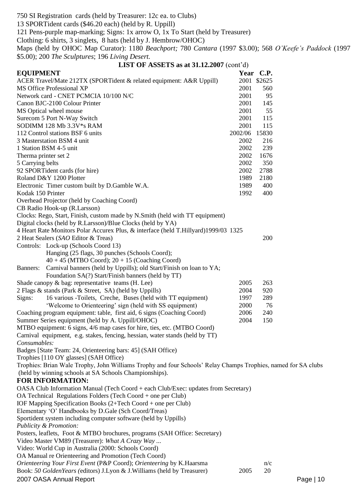750 SI Registration cards (held by Treasurer: 12c ea. to Clubs)

13 SPORTident cards (\$46.20 each) (held by R. Uppill)

121 Pens-purple map-marking; Signs: 1x arrow O, 1x To Start (held by Treasurer)

Clothing: 6 shirts, 3 singlets, 8 hats (held by J. Hembrow/OHOC)

Maps (held by OHOC Map Curator): 1180 *Beachport;* 780 *Cantara* (1997 \$3.00); 568 *O'Keefe's Paddock* (1997 \$5.00); 200 *The Sculptures*; 196 *Living Desert.*

| LIST OF ASSETS as at $31.12.2007$ (cont'd) |  |
|--------------------------------------------|--|
|--------------------------------------------|--|

| <b>EQUIPMENT</b>                                                                                                             |               | Year C.P.   |
|------------------------------------------------------------------------------------------------------------------------------|---------------|-------------|
| ACER Travel/Mate 212TX (SPORTident & related equipment: A&R Uppill)                                                          |               | 2001 \$2625 |
| <b>MS Office Professional XP</b>                                                                                             | 2001          | 560         |
| Network card - CNET PCMCIA 10/100 N/C                                                                                        | 2001          | 95          |
| Canon BJC-2100 Colour Printer                                                                                                | 2001          | 145         |
| MS Optical wheel mouse                                                                                                       | 2001          | 55          |
| Surecom 5 Port N-Way Switch                                                                                                  | 2001          | 115         |
| SODIMM 128 Mb 3.3V*s RAM                                                                                                     | 2001          | 115         |
| 112 Control stations BSF 6 units                                                                                             | 2002/06 15830 |             |
| 3 Masterstation BSM 4 unit                                                                                                   | 2002          | 216         |
| 1 Station BSM 4-5 unit                                                                                                       | 2002          | 239         |
| Therma printer set 2                                                                                                         | 2002          | 1676        |
| 5 Carrying belts                                                                                                             | 2002          | 350         |
| 92 SPORTident cards (for hire)                                                                                               | 2002          | 2788        |
| Roland D&Y 1200 Plotter                                                                                                      | 1989          | 2180        |
| Electronic Timer custom built by D.Gamble W.A.                                                                               | 1989          | 400         |
| Kodak 150 Printer                                                                                                            | 1992          | 400         |
| Overhead Projector (held by Coaching Coord)                                                                                  |               |             |
| CB Radio Hook-up (R.Larsson)                                                                                                 |               |             |
| Clocks: Rego, Start, Finish, custom made by N.Smith (held with TT equipment)                                                 |               |             |
| Digital clocks (held by R.Larsson)/Blue Clocks (held by YA)                                                                  |               |             |
| 4 Heart Rate Monitors Polar Accurex Plus, & interface (held T.Hillyard)1999/03 1325                                          |               |             |
| 2 Heat Sealers (SAO Editor & Treas)                                                                                          |               | 200         |
| Controls: Lock-up (Schools Coord 13)                                                                                         |               |             |
| Hanging (25 flags, 30 punches (Schools Coord);                                                                               |               |             |
| $40 + 45$ (MTBO Coord); $20 + 15$ (Coaching Coord)                                                                           |               |             |
| Banners: Carnival banners (held by Uppills); old Start/Finish on loan to YA;                                                 |               |             |
| Foundation SA(?) Start/Finish banners (held by TT)                                                                           |               |             |
| Shade can opy $\&$ bag: representative teams (H. Lee)                                                                        | 2005          | 263         |
| 2 Flags & stands (Park & Street, SA) (held by Uppills)                                                                       | 2004          | 920         |
| 16 various -Toilets, Creche, Buses (held with TT equipment)<br>Signs:                                                        | 1997          | 289         |
| 'Welcome to Orienteering' sign (held with SS equipment)                                                                      | 2000          | 76          |
| Coaching program equipment: table, first aid, 6 signs (Coaching Coord)                                                       | 2006          | 240         |
| Summer Series equipment (held by A. Uppill/OHOC)<br>MTBO equipment: 6 signs, 4/6 map cases for hire, ties, etc. (MTBO Coord) | 2004          | 150         |
| Carnival equipment, e.g. stakes, fencing, hessian, water stands (held by TT)                                                 |               |             |
| Consumables:                                                                                                                 |               |             |
| Badges [State Team: 24, Orienteering bars: 45] (SAH Office)                                                                  |               |             |
| Trophies [110 OY glasses] (SAH Office)                                                                                       |               |             |
| Trophies: Brian Wale Trophy, John Williams Trophy and four Schools' Relay Champs Trophies, named for SA clubs                |               |             |
| (held by winning schools at SA Schools Championships).                                                                       |               |             |
| <b>FOR INFORMATION:</b>                                                                                                      |               |             |
| OASA Club Information Manual (Tech Coord + each Club/Exec: updates from Secretary)                                           |               |             |
| OA Technical Regulations Folders (Tech Coord + one per Club)                                                                 |               |             |
| IOF Mapping Specification Books (2+Tech Coord + one per Club)                                                                |               |             |
| Elementary 'O' Handbooks by D.Gale (Sch Coord/Treas)                                                                         |               |             |
| Sportident system including computer software (held by Uppills)                                                              |               |             |
| Publicity & Promotion:                                                                                                       |               |             |
| Posters, leaflets, Foot & MTBO brochures, programs (SAH Office: Secretary)                                                   |               |             |
| Video Master VM89 (Treasurer): What A Crazy Way                                                                              |               |             |
| Video: World Cup in Australia (2000: Schools Coord)                                                                          |               |             |
| OA Manual re Orienteering and Promotion (Tech Coord)                                                                         |               |             |
| Orienteering Your First Event (P&P Coord); Orienteering by K.Haarsma                                                         |               | n/c         |
| Book: 50 Golden Years (editors) J.Lyon & J. Williams (held by Treasurer)                                                     | 2005          | 20          |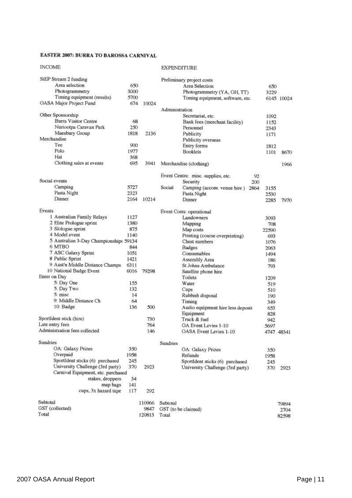#### EASTER 2007: BURRA TO BAROSSA CARNIVAL

| <b>INCOME</b>                          |      |        | EXPENDITURE                                |       |            |
|----------------------------------------|------|--------|--------------------------------------------|-------|------------|
| StEP Stream 2 funding                  |      |        | Preliminary project costs                  |       |            |
| Area selection                         | 650  |        | Area Selection                             | 650   |            |
| Photogrammetry                         | 3000 |        | Photogrammetry (YA, OH, TT)                | 3229  |            |
| Timing equipment (results)             | 5700 |        | Timing equipment, software, etc.           |       | 6145 10024 |
| OASA Major Project Fund                | 674  | 10024  |                                            |       |            |
|                                        |      |        | Administration                             |       |            |
| Other Sponsorship                      |      |        | Secretariat, etc.                          | 1092  |            |
| <b>Burra Visitor Centre</b>            | 68   |        | Bank fees (merchant facility)              | 1152  |            |
| Nuriootpa Caravan Park                 | 250  |        | Personnel                                  | 2343  |            |
| Maesbury Group                         | 1818 | 2136   | Publicity                                  | 1171  |            |
| Merchandise                            |      |        | Publicity overseas                         |       |            |
| Tee                                    | 900  |        | Entry forms                                | 1812  |            |
| Polo                                   | 1977 |        | <b>Booklets</b>                            | 1101  | 8670       |
| Hat                                    | 368  |        |                                            |       |            |
| Clothing sales at events               | 695  | 3941   | Merchandise (clothing)                     |       | 1966       |
|                                        |      |        |                                            |       |            |
| Social events                          |      |        | Event Centre: misc. supplies, etc.<br>92   |       |            |
| Camping                                |      |        | Security<br>200                            |       |            |
|                                        | 5727 |        | Social<br>Camping (accom. venue hire) 2864 | 3155  |            |
| Pasta Night                            | 2323 |        | Pasta Night                                | 2530  |            |
| Dinner                                 | 2164 | 10214  | Dinner                                     | 2285  | 7970       |
| Events                                 |      |        | Event Costs: operational                   |       |            |
| 1 Australian Family Relays             | 1127 |        | Landowners                                 | 3093  |            |
| 2 Elite Prologue sprint                | 1380 |        | Mapping                                    | 708   |            |
| 3 Slologue sprint                      | 875  |        | Map costs                                  | 22590 |            |
| 4 Model event                          | 1140 |        | Printing (course overprinting)             | 693   |            |
| 5 Australian 3-Day Championships 59134 |      |        | Chest numbers                              | 1076  |            |
| 6 MTBO                                 | 844  |        | Badges                                     | 2063  |            |
| 7 ASC Galaxy Sprint                    | 1051 |        | Consumables                                | 1494  |            |
| 8 Public Sprint                        | 1421 |        | Assembly Area                              | 186   |            |
| 9 Aust'n Middle Distance Champs        | 6311 |        | St Johns Ambulance                         | 793   |            |
| 10 National Badge Event                | 6016 | 79298  | Satellite phone hire                       |       |            |
| Enter on Day                           |      |        | Toilets                                    | 1209  |            |
| 5: Day One                             | 155  |        | Water                                      | 519   |            |
| 5: Day Two                             | 132  |        | Cups                                       | 510   |            |
| 5. misc                                | 14   |        | Rubbish disposal                           | 190   |            |
| 9: Middle Distance Ch                  | 64   |        | Timing                                     | 349   |            |
| 10: Badge                              | 136  | 500    | Audio equipment hire less deposit          | 653   |            |
|                                        |      |        | Equipment                                  | 828   |            |
| SportIdent stick (hire)                |      | 730    | Truck & fuel                               | 942   |            |
| Late entry fees                        |      | 764    | OA Event Levies 1-10                       | 5697  |            |
| Administration fees collected          |      | 146    | OASA Event Levies 1-10                     |       | 4747 48341 |
| Sundries                               |      |        | Sundries                                   |       |            |
| OA: Galaxy Prizes                      | 350  |        | OA: Galaxy Prizes                          | 350   |            |
| Overpaid                               | 1958 |        | Refunds                                    | 1958  |            |
| SportIdent sticks (6) purchased        | 245  |        | SportIdent sticks (6) purchased            | 245   |            |
| University Challenge (3rd party)       | 370  | 2923   | University Challenge (3rd party)           |       |            |
| Carnival Equipment, etc. purchased     |      |        |                                            | 370   | 2923       |
| stakes, droppers                       | 34   |        |                                            |       |            |
| map bags                               | 141  |        |                                            |       |            |
| cups, 3x hazard tape                   | 117  | 292    |                                            |       |            |
| Subtotal                               |      |        |                                            |       |            |
| GST (collected)                        |      | 110966 | Subtotal                                   |       | 79894      |
| Total                                  |      | 9847   | GST (to be claimed)                        |       | 2704       |
|                                        |      | 120813 | Total                                      |       | 82598      |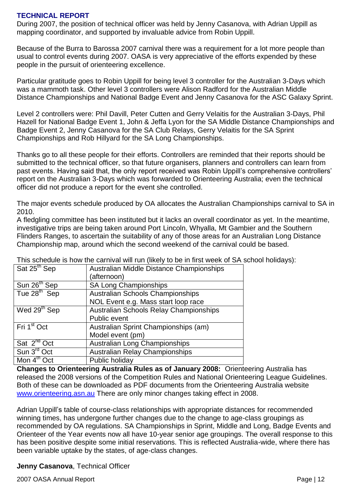## **TECHNICAL REPORT**

During 2007, the position of technical officer was held by Jenny Casanova, with Adrian Uppill as mapping coordinator, and supported by invaluable advice from Robin Uppill.

Because of the Burra to Barossa 2007 carnival there was a requirement for a lot more people than usual to control events during 2007. OASA is very appreciative of the efforts expended by these people in the pursuit of orienteering excellence.

Particular gratitude goes to Robin Uppill for being level 3 controller for the Australian 3-Days which was a mammoth task. Other level 3 controllers were Alison Radford for the Australian Middle Distance Championships and National Badge Event and Jenny Casanova for the ASC Galaxy Sprint.

Level 2 controllers were: Phil Davill, Peter Cutten and Gerry Velaitis for the Australian 3-Days, Phil Hazell for National Badge Event 1, John & Jeffa Lyon for the SA Middle Distance Championships and Badge Event 2, Jenny Casanova for the SA Club Relays, Gerry Velaitis for the SA Sprint Championships and Rob Hillyard for the SA Long Championships.

Thanks go to all these people for their efforts. Controllers are reminded that their reports should be submitted to the technical officer, so that future organisers, planners and controllers can learn from past events. Having said that, the only report received was Robin Uppill's comprehensive controllers' report on the Australian 3-Days which was forwarded to Orienteering Australia; even the technical officer did not produce a report for the event she controlled.

The major events schedule produced by OA allocates the Australian Championships carnival to SA in 2010.

A fledgling committee has been instituted but it lacks an overall coordinator as yet. In the meantime, investigative trips are being taken around Port Lincoln, Whyalla, Mt Gambier and the Southern Flinders Ranges, to ascertain the suitability of any of those areas for an Australian Long Distance Championship map, around which the second weekend of the carnival could be based.

| Sat 25 <sup>th</sup> Sep | Australian Middle Distance Championships      |
|--------------------------|-----------------------------------------------|
|                          | (afternoon)                                   |
| Sun 26 <sup>th</sup> Sep | <b>SA Long Championships</b>                  |
| Tue 28 <sup>th</sup> Sep | Australian Schools Championships              |
|                          | NOL Event e.g. Mass start loop race           |
| Wed 29 <sup>th</sup> Sep | <b>Australian Schools Relay Championships</b> |
|                          | Public event                                  |
| Fri 1 <sup>st</sup> Oct  | Australian Sprint Championships (am)          |
|                          | Model event (pm)                              |
| Sat 2 <sup>nd</sup> Oct  | Australian Long Championships                 |
| Sun 3rd Oct              | <b>Australian Relay Championships</b>         |
| Mon 4 <sup>th</sup> Oct  | Public holiday                                |

This schedule is how the carnival will run (likely to be in first week of SA school holidays):

**Changes to Orienteering Australia Rules as of January 2008:** Orienteering Australia has released the 2008 versions of the Competition Rules and National Orienteering League Guidelines. Both of these can be downloaded as PDF documents from the Orienteering Australia website [www.orienteering.asn.au](http://www.orienteering.asn.au/) There are only minor changes taking effect in 2008.

Adrian Uppill's table of course-class relationships with appropriate distances for recommended winning times, has undergone further changes due to the change to age-class groupings as recommended by OA regulations. SA Championships in Sprint, Middle and Long, Badge Events and Orienteer of the Year events now all have 10-year senior age groupings. The overall response to this has been positive despite some initial reservations. This is reflected Australia-wide, where there has been variable uptake by the states, of age-class changes.

**Jenny Casanova**, Technical Officer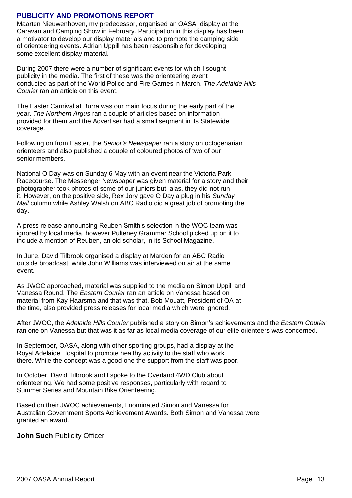### **PUBLICITY AND PROMOTIONS REPORT**

Maarten Nieuwenhoven, my predecessor, organised an OASA display at the Caravan and Camping Show in February. Participation in this display has been a motivator to develop our display materials and to promote the camping side of orienteering events. Adrian Uppill has been responsible for developing some excellent display material.

During 2007 there were a number of significant events for which I sought publicity in the media. The first of these was the orienteering event conducted as part of the World Police and Fire Games in March. *The Adelaide Hills Courier* ran an article on this event.

The Easter Carnival at Burra was our main focus during the early part of the year. *The Northern Argus* ran a couple of articles based on information provided for them and the Advertiser had a small segment in its Statewide coverage.

Following on from Easter, the *Senior's Newspaper* ran a story on octogenarian orienteers and also published a couple of coloured photos of two of our senior members.

National O Day was on Sunday 6 May with an event near the Victoria Park Racecourse. The Messenger Newspaper was given material for a story and their photographer took photos of some of our juniors but, alas, they did not run it. However, on the positive side, Rex Jory gave O Day a plug in his *Sunday Mail* column while Ashley Walsh on ABC Radio did a great job of promoting the day.

A press release announcing Reuben Smith's selection in the WOC team was ignored by local media, however Pulteney Grammar School picked up on it to include a mention of Reuben, an old scholar, in its School Magazine.

In June, David Tilbrook organised a display at Marden for an ABC Radio outside broadcast, while John Williams was interviewed on air at the same event.

As JWOC approached, material was supplied to the media on Simon Uppill and Vanessa Round. The *Eastern Courier* ran an article on Vanessa based on material from Kay Haarsma and that was that. Bob Mouatt, President of OA at the time, also provided press releases for local media which were ignored.

After JWOC, the *Adelaide Hills Courier* published a story on Simon's achievements and the *Eastern Courier* ran one on Vanessa but that was it as far as local media coverage of our elite orienteers was concerned.

In September, OASA, along with other sporting groups, had a display at the Royal Adelaide Hospital to promote healthy activity to the staff who work there. While the concept was a good one the support from the staff was poor.

In October, David Tilbrook and I spoke to the Overland 4WD Club about orienteering. We had some positive responses, particularly with regard to Summer Series and Mountain Bike Orienteering.

Based on their JWOC achievements, I nominated Simon and Vanessa for Australian Government Sports Achievement Awards. Both Simon and Vanessa were granted an award.

**John Such** Publicity Officer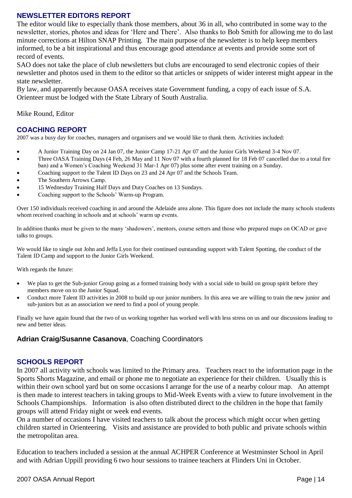## **NEWSLETTER EDITORS REPORT**

The editor would like to especially thank those members, about 36 in all, who contributed in some way to the newsletter, stories, photos and ideas for "Here and There". Also thanks to Bob Smith for allowing me to do last minute corrections at Hilton SNAP Printing. The main purpose of the newsletter is to help keep members informed, to be a bit inspirational and thus encourage good attendance at events and provide some sort of record of events.

SAO does not take the place of club newsletters but clubs are encouraged to send electronic copies of their newsletter and photos used in them to the editor so that articles or snippets of wider interest might appear in the state newsletter.

By law, and apparently because OASA receives state Government funding, a copy of each issue of S.A. Orienteer must be lodged with the State Library of South Australia.

Mike Round, Editor

## **COACHING REPORT**

2007 was a busy day for coaches, managers and organisers and we would like to thank them. Activities included:

- A Junior Training Day on 24 Jan 07, the Junior Camp 17-21 Apr 07 and the Junior Girls Weekend 3-4 Nov 07.
- Three OASA Training Days (4 Feb, 26 May and 11 Nov 07 with a fourth planned for 18 Feb 07 cancelled due to a total fire ban) and a Women"s Coaching Weekend 31 Mar-1 Apr 07) plus some after event training on a Sunday.
- Coaching support to the Talent ID Days on 23 and 24 Apr 07 and the Schools Team.
- The Southern Arrows Camp.
- 15 Wednesday Training Half Days and Duty Coaches on 13 Sundays.
- Coaching support to the Schools" Warm-up Program.

Over 150 individuals received coaching in and around the Adelaide area alone. This figure does not include the many schools students whom received coaching in schools and at schools' warm up events.

In addition thanks must be given to the many "shadowers", mentors, course setters and those who prepared maps on OCAD or gave talks to groups.

We would like to single out John and Jeffa Lyon for their continued outstanding support with Talent Spotting, the conduct of the Talent ID Camp and support to the Junior Girls Weekend.

With regards the future:

- We plan to get the Sub-junior Group going as a formed training body with a social side to build on group spirit before they members move on to the Junior Squad.
- Conduct more Talent ID activities in 2008 to build up our junior numbers. In this area we are willing to train the new junior and sub-juniors but as an association we need to find a pool of young people.

Finally we have again found that the two of us working together has worked well with less stress on us and our discussions leading to new and better ideas.

## **Adrian Craig/Susanne Casanova**, Coaching Coordinators

#### **SCHOOLS REPORT**

In 2007 all activity with schools was limited to the Primary area. Teachers react to the information page in the Sports Shorts Magazine, and email or phone me to negotiate an experience for their children. Usually this is within their own school yard but on some occasions I arrange for the use of a nearby colour map. An attempt is then made to interest teachers in taking groups to Mid-Week Events with a view to future involvement in the Schools Championships. Information is also often distributed direct to the children in the hope that family groups will attend Friday night or week end events.

On a number of occasions I have visited teachers to talk about the process which might occur when getting children started in Orienteering. Visits and assistance are provided to both public and private schools within the metropolitan area.

Education to teachers included a session at the annual ACHPER Conference at Westminster School in April and with Adrian Uppill providing 6 two hour sessions to trainee teachers at Flinders Uni in October.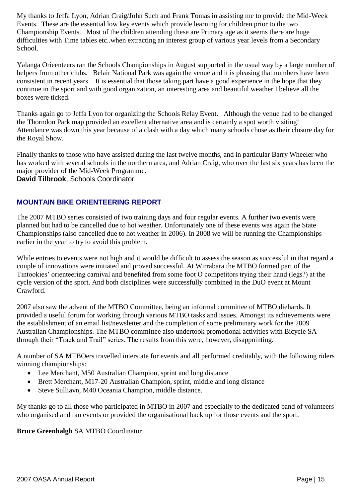My thanks to Jeffa Lyon, Adrian Craig/John Such and Frank Tomas in assisting me to provide the Mid-Week Events. These are the essential low key events which provide learning for children prior to the two Championship Events. Most of the children attending these are Primary age as it seems there are huge difficulties with Time tables etc..when extracting an interest group of various year levels from a Secondary School.

Yalanga Orieenteers ran the Schools Championships in August supported in the usual way by a large number of helpers from other clubs. Belair National Park was again the venue and it is pleasing that numbers have been consistent in recent years. It is essential that those taking part have a good experience in the hope that they continue in the sport and with good organization, an interesting area and beautiful weather I believe all the boxes were ticked.

Thanks again go to Jeffa Lyon for organizing the Schools Relay Event. Although the venue had to be changed the Thorndon Park map provided an excellent alternative area and is certainly a spot worth visiting! Attendance was down this year because of a clash with a day which many schools chose as their closure day for the Royal Show.

Finally thanks to those who have assisted during the last twelve months, and in particular Barry Wheeler who has worked with several schools in the northern area, and Adrian Craig, who over the last six years has been the major provider of the Mid-Week Programme.

**David Tilbrook**, Schools Coordinator

## **MOUNTAIN BIKE ORIENTEERING REPORT**

The 2007 MTBO series consisted of two training days and four regular events. A further two events were planned but had to be cancelled due to hot weather. Unfortunately one of these events was again the State Championships (also cancelled due to hot weather in 2006). In 2008 we will be running the Championships earlier in the year to try to avoid this problem.

While entries to events were not high and it would be difficult to assess the season as successful in that regard a couple of innovations were initiated and proved successful. At Wirrabara the MTBO formed part of the Tintookies" orienteering carnival and benefited from some foot O competitors trying their hand (legs?) at the cycle version of the sport. And both disciplines were successfully combined in the DuO event at Mount Crawford.

2007 also saw the advent of the MTBO Committee, being an informal committee of MTBO diehards. It provided a useful forum for working through various MTBO tasks and issues. Amongst its achievements were the establishment of an email list/newsletter and the completion of some preliminary work for the 2009 Australian Championships. The MTBO committee also undertook promotional activities with Bicycle SA through their "Track and Trail" series. The results from this were, however, disappointing.

A number of SA MTBOers travelled interstate for events and all performed creditably, with the following riders winning championships:

- Lee Merchant, M50 Australian Champion, sprint and long distance
- Brett Merchant, M17-20 Australian Champion, sprint, middle and long distance
- Steve Sulliavn, M40 Oceania Champion, middle distance.

My thanks go to all those who participated in MTBO in 2007 and especially to the dedicated band of volunteers who organised and ran events or provided the organisational back up for those events and the sport.

## **Bruce Greenhalgh** SA MTBO Coordinator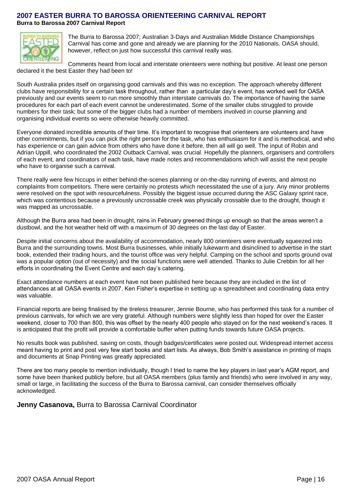## **2007 EASTER BURRA TO BAROSSA ORIENTEERING CARNIVAL REPORT Burra to Barossa 2007 Carnival Report**



The Burra to Barossa 2007; Australian 3-Days and Australian Middle Distance Championships Carnival has come and gone and already we are planning for the 2010 Nationals. OASA should, however, reflect on just how successful this carnival really was.

Comments heard from local and interstate orienteers were nothing but positive. At least one person declared it the best Easter they had been to!

South Australia prides itself on organising good carnivals and this was no exception. The approach whereby different clubs have responsibility for a certain task throughout, rather than a particular day's event, has worked well for OASA previously and our events seem to run more smoothly than interstate carnivals do. The importance of having the same procedures for each part of each event cannot be underestimated. Some of the smaller clubs struggled to provide numbers for their task; but some of the bigger clubs had a number of members involved in course planning and organising individual events so were otherwise heavily committed.

Everyone donated incredible amounts of their time. It's important to recognise that orienteers are volunteers and have other commitments, but if you can pick the right person for the task, who has enthusiasm for it and is methodical, and who has experience or can gain advice from others who have done it before, then all will go well. The input of Robin and Adrian Uppill, who coordinated the 2002 Outback Carnival, was crucial. Hopefully the planners, organisers and controllers of each event, and coordinators of each task, have made notes and recommendations which will assist the next people who have to organise such a carnival.

There really were few hiccups in either behind-the-scenes planning or on-the-day running of events, and almost no complaints from competitors. There were certainly no protests which necessitated the use of a jury. Any minor problems were resolved on the spot with resourcefulness. Possibly the biggest issue occurred during the ASC Galaxy sprint race, which was contentious because a previously uncrossable creek was physically crossable due to the drought, though it was mapped as uncrossable.

Although the Burra area had been in drought, rains in February greened things up enough so that the areas weren't a dustbowl, and the hot weather held off with a maximum of 30 degrees on the last day of Easter.

Despite initial concerns about the availability of accommodation, nearly 800 orienteers were eventually squeezed into Burra and the surrounding towns. Most Burra businesses, while initially lukewarm and disinclined to advertise in the start book, extended their trading hours, and the tourist office was very helpful. Camping on the school and sports ground oval was a popular option (out of necessity) and the social functions were well attended. Thanks to Julie Crebbin for all her efforts in coordinating the Event Centre and each day's catering.

Exact attendance numbers at each event have not been published here because they are included in the list of attendances at all OASA events in 2007. Ken Fisher's expertise in setting up a spreadsheet and coordinating data entry was valuable.

Financial reports are being finalised by the tireless treasurer, Jennie Bourne, who has performed this task for a number of previous carnivals, for which we are very grateful. Although numbers were slightly less than hoped for over the Easter weekend, closer to 700 than 800, this was offset by the nearly 400 people who stayed on for the next weekend's races. It is anticipated that the profit will provide a comfortable buffer when putting funds towards future OASA projects.

No results book was published, saving on costs, though badges/certificates were posted out. Widespread internet access meant having to print and post very few start books and start lists. As always, Bob Smith's assistance in printing of maps and documents at Snap Printing was greatly appreciated.

There are too many people to mention individually, though I tried to name the key players in last year's AGM report, and some have been thanked publicly before, but all OASA members (plus family and friends) who were involved in any way, small or large, in facilitating the success of the Burra to Barossa carnival, can consider themselves officially acknowledged.

#### **Jenny Casanova,** Burra to Barossa Carnival Coordinator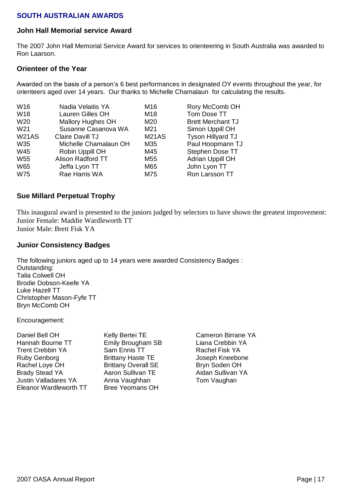## **SOUTH AUSTRALIAN AWARDS**

#### **John Hall Memorial service Award**

The 2007 John Hall Memorial Service Award for services to orienteering in South Australia was awarded to Ron Laarson.

#### **Orienteer of the Year**

Awarded on the basis of a person's 6 best performances in designated OY events throughout the year, for orienteers aged over 14 years. Our thanks to Michelle Chamalaun for calculating the results.

| W <sub>16</sub> | Nadia Velaitis YA        | M16          | Rory McComb OH           |
|-----------------|--------------------------|--------------|--------------------------|
| W18             | Lauren Gilles OH         | M18          | Tom Dose TT              |
| W <sub>20</sub> | <b>Mallory Hughes OH</b> | M20          | <b>Brett Merchant TJ</b> |
| W <sub>21</sub> | Susanne Casanova WA      | M21          | Simon Uppill OH          |
| <b>W21AS</b>    | Claire Davill TJ         | <b>M21AS</b> | Tyson Hillyard TJ        |
| <b>W35</b>      | Michelle Chamalaun OH    | M35          | Paul Hoopmann TJ         |
| W45             | Robin Uppill OH          | M45          | Stephen Dose TT          |
| <b>W55</b>      | Alison Radford TT        | M55          | <b>Adrian Uppill OH</b>  |
| <b>W65</b>      | Jeffa Lyon TT            | M65          | John Lyon TT             |
| <b>W75</b>      | Rae Harris WA            | M75          | Ron Larsson TT           |
|                 |                          |              |                          |

### **Sue Millard Perpetual Trophy**

This inaugural award is presented to the juniors judged by selectors to have shown the greatest improvement: Junior Female: Maddie Wardleworth TT Junior Male: Brett Fisk YA

### **Junior Consistency Badges**

The following juniors aged up to 14 years were awarded Consistency Badges : Outstanding: Talia Colwell OH Brodie Dobson-Keefe YA Luke Hazell TT Christopher Mason-Fyfe TT Bryn McComb OH

Encouragement:

Emily Brougham SB Liana Crebbin YA Sam Ennis TT Rachel Fisk YA Brittany Haste TE **Joseph Kneebone** Brittany Overall SE Bryn Soden OH Aaron Sullivan TE Aidan Sullivan YA Anna Vaughhan Tom Vaughan Bree Yeomans OH

Kelly Bertei TE Cameron Birrane YA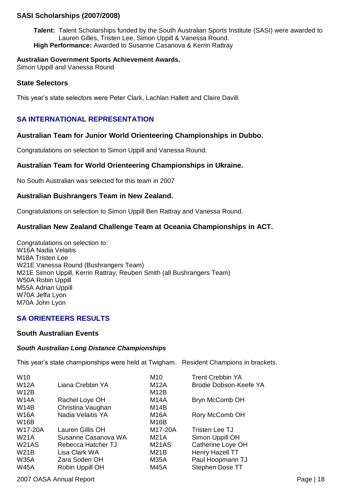## **SASI Scholarships (2007/2008)**

**Talent:** Talent Scholarships funded by the South Australian Sports Institute (SASI) were awarded to Lauren Gilles, Tristen Lee, Simon Uppill & Vanessa Round. **High Performance:** Awarded to Susanne Casanova & Kerrin Rattray

#### **Australian Government Sports Achievement Awards.**

Simon Uppill and Vanessa Round

#### **State Selectors**

This year's state selectors were Peter Clark, Lachlan Hallett and Claire Davill.

## **SA INTERNATIONAL REPRESENTATION**

### **Australian Team for Junior World Orienteering Championships in Dubbo.**

Congratulations on selection to Simon Uppill and Vanessa Round.

## **Australian Team for World Orienteering Championships in Ukraine.**

No South Australian was selected for this team in 2007

### **Australian Bushrangers Team in New Zealand.**

Congratulations on selection to Simon Uppill Ben Rattray and Vanessa Round.

## **Australian New Zealand Challenge Team at Oceania Championships in ACT.**

Congratulations on selection to: W16A Nadia Velaitis M18A Tristen Lee W21E Vanessa Round (Bushrangers Team) M21E Simon Uppill, Kerrin Rattray, Reuben Smith (all Bushrangers Team) W50A Robin Uppill M55A Adrian Uppill W70A Jeffa Lyon M70A John Lyon

#### **SA ORIENTEERS RESULTS**

### **South Australian Events**

#### *South Australian Long Distance Championships*

This year's state championships were held at Twigham. Resident Champions in brackets.

| W <sub>10</sub> |                     | M10               | <b>Trent Crebbin YA</b> |
|-----------------|---------------------|-------------------|-------------------------|
| <b>W12A</b>     | Liana Crebbin YA    | <b>M12A</b>       | Brodie Dobson-Keefe YA  |
| W12B            |                     | M <sub>12</sub> B |                         |
| <b>W14A</b>     | Rachel Loye OH      | M <sub>14</sub> A | Bryn McComb OH          |
| <b>W14B</b>     | Christina Vaughan   | M <sub>14</sub> B |                         |
| <b>W16A</b>     | Nadia Velaitis YA   | <b>M16A</b>       | Rory McComb OH          |
| W16B            |                     | M <sub>16</sub> B |                         |
| W17-20A         | Lauren Gillis OH    | M17-20A           | Tristen Lee TJ          |
| <b>W21A</b>     | Susanne Casanova WA | M21A              | Simon Uppill OH         |
| <b>W21AS</b>    | Rebecca Hatcher TJ  | M21AS             | Catherine Loye OH       |
| W21B            | Lisa Clark WA       | M21B              | Henry Hazell TT         |
| <b>W35A</b>     | Zara Soden OH       | <b>M35A</b>       | Paul Hoopmann TJ        |
| <b>W45A</b>     | Robin Uppill OH     | <b>M45A</b>       | Stephen Dose TT         |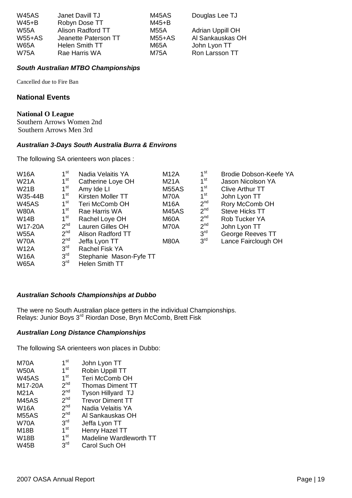| <b>W45AS</b> | Janet Davill TJ      | M45AS    | Douglas Lee TJ   |
|--------------|----------------------|----------|------------------|
| $W45+B$      | Robyn Dose TT        | $M45+B$  |                  |
| <b>W55A</b>  | Alison Radford TT    | M55A     | Adrian Uppill OH |
| $W55+AS$     | Jeanette Paterson TT | $M55+AS$ | Al Sankauskas OH |
| <b>W65A</b>  | Helen Smith TT       | M65A     | John Lyon TT     |
| <b>W75A</b>  | Rae Harris WA        | M75A     | Ron Larsson TT   |

#### *South Australian MTBO Championships*

Cancelled due to Fire Ban

## **National Events**

#### **National O League**

Southern Arrows Women 2nd Southern Arrows Men 3rd

#### *Australian 3-Days South Australia Burra & Environs*

The following SA orienteers won places :

| <b>W16A</b>  | $1^{\rm st}$    | Nadia Velaitis YA       | <b>M12A</b> | 1 <sup>st</sup> | Brodie Dobson-Keefe YA |
|--------------|-----------------|-------------------------|-------------|-----------------|------------------------|
| <b>W21A</b>  | $1^{\rm st}$    | Catherine Loye OH       | <b>M21A</b> | 1 <sup>st</sup> | Jason Nicolson YA      |
| <b>W21B</b>  | $1^{\rm st}$    | Amy Ide LI              | M55AS       | 1 <sup>st</sup> | Clive Arthur TT        |
| W35-44B      | $1^{\rm st}$    | Kirsten Moller TT       | M70A        | 1 <sup>st</sup> | John Lyon TT           |
| <b>W45AS</b> | $1^{\rm st}$    | Teri McComb OH          | <b>M16A</b> | 2 <sup>nd</sup> | Rory McComb OH         |
| <b>W80A</b>  | $1^{\rm st}$    | Rae Harris WA           | M45AS       | 2 <sup>nd</sup> | <b>Steve Hicks TT</b>  |
| <b>W14B</b>  | $1^{\rm st}$    | Rachel Loye OH          | M60A        | 2 <sup>nd</sup> | Rob Tucker YA          |
| W17-20A      | 2 <sup>nd</sup> | Lauren Gilles OH        | M70A        | 2 <sup>nd</sup> | John Lyon TT           |
| <b>W55A</b>  | 2 <sup>nd</sup> | Alison Radford TT       |             | 3 <sup>rd</sup> | George Reeves TT       |
| <b>W70A</b>  | 2 <sup>nd</sup> | Jeffa Lyon TT           | M80A        | 3 <sup>rd</sup> | Lance Fairclough OH    |
| <b>W12A</b>  | 3 <sup>rd</sup> | <b>Rachel Fisk YA</b>   |             |                 |                        |
| <b>W16A</b>  | 3 <sup>rd</sup> | Stephanie Mason-Fyfe TT |             |                 |                        |
| <b>W65A</b>  | 3 <sup>rd</sup> | <b>Helen Smith TT</b>   |             |                 |                        |

#### *Australian Schools Championships at Dubbo*

The were no South Australian place getters in the individual Championships. Relays: Junior Boys 3<sup>rd</sup> Riordan Dose, Bryn McComb, Brett Fisk

#### *Australian Long Distance Championships*

The following SA orienteers won places in Dubbo:

| M70A         | $1^{\rm st}$    | John Lyon TT             |
|--------------|-----------------|--------------------------|
| <b>W50A</b>  | 1 <sup>st</sup> | Robin Uppill TT          |
| <b>W45AS</b> | 1 <sup>st</sup> | Teri McComb OH           |
| M17-20A      | 2 <sup>nd</sup> | <b>Thomas Diment TT</b>  |
| <b>M21A</b>  | 2 <sup>nd</sup> | <b>Tyson Hillyard TJ</b> |
| <b>M45AS</b> | 2 <sup>nd</sup> | <b>Trevor Diment TT</b>  |
| <b>W16A</b>  | 2 <sup>nd</sup> | Nadia Velaitis YA        |
| <b>M55AS</b> | 2 <sup>nd</sup> | Al Sankauskas OH         |
| <b>W70A</b>  | 3 <sup>rd</sup> | Jeffa Lyon TT            |
| <b>M18B</b>  | 1 <sup>st</sup> | Henry Hazel TT           |
| <b>W18B</b>  | 1 <sup>st</sup> | Madeline Wardleworth TT  |
| <b>W45B</b>  | 3 <sup>rd</sup> | Carol Such OH            |
|              |                 |                          |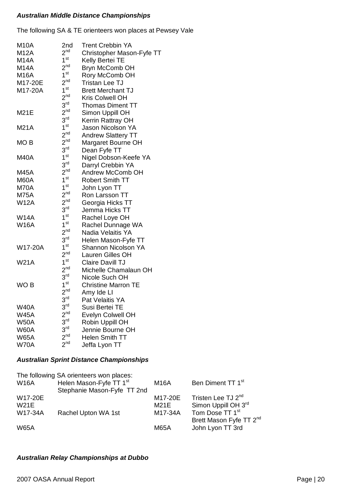#### *Australian Middle Distance Championships*

The following SA & TE orienteers won places at Pewsey Vale

| <b>M10A</b><br><b>M12A</b><br><b>M14A</b><br><b>M14A</b> | 2nd<br>$2^{nd}$<br>1 <sup>st</sup><br>2 <sup>nd</sup> | <b>Trent Crebbin YA</b><br>Christopher Mason-Fyfe TT<br>Kelly Bertei TE<br>Bryn McComb OH |
|----------------------------------------------------------|-------------------------------------------------------|-------------------------------------------------------------------------------------------|
| <b>M16A</b>                                              | 1 <sup>st</sup>                                       | Rory McComb OH                                                                            |
| M17-20E                                                  | $2^{nd}$                                              | <b>Tristan Lee TJ</b>                                                                     |
| M17-20A                                                  | 1 <sup>st</sup>                                       | <b>Brett Merchant TJ</b>                                                                  |
|                                                          | 2 <sup>nd</sup>                                       | Kris Colwell OH                                                                           |
|                                                          | $3^{\text{rd}}$                                       | <b>Thomas Diment TT</b>                                                                   |
| <b>M21E</b>                                              | 2 <sup>nd</sup>                                       | Simon Uppill OH                                                                           |
|                                                          | 3 <sup>rd</sup>                                       | Kerrin Rattray OH                                                                         |
| <b>M21A</b>                                              | 1 <sup>st</sup>                                       | <b>Jason Nicolson YA</b>                                                                  |
|                                                          | 2 <sup>nd</sup>                                       | <b>Andrew Slattery TT</b>                                                                 |
| MO <sub>B</sub>                                          | $2^{nd}$                                              | Margaret Bourne OH                                                                        |
|                                                          | $3^{\text{rd}}$                                       | Dean Fyfe TT                                                                              |
| <b>M40A</b>                                              | 1 <sup>st</sup>                                       | Nigel Dobson-Keefe YA                                                                     |
|                                                          | 3 <sup>rd</sup>                                       | Darryl Crebbin YA                                                                         |
| <b>M45A</b>                                              | $2^{nd}$                                              | <b>Andrew McComb OH</b>                                                                   |
| M60A                                                     | 1 <sup>st</sup>                                       | <b>Robert Smith TT</b>                                                                    |
| M70A                                                     | 1 <sup>st</sup>                                       | John Lyon TT                                                                              |
| <b>M75A</b>                                              | 2 <sup>nd</sup>                                       | Ron Larsson TT                                                                            |
| <b>W12A</b>                                              | 2 <sup>nd</sup>                                       | Georgia Hicks TT                                                                          |
|                                                          | $3^{\mathsf{rd}}$                                     | Jemma Hicks TT                                                                            |
| <b>W14A</b>                                              | 1 <sup>st</sup>                                       | Rachel Loye OH                                                                            |
| <b>W16A</b>                                              | 1 <sup>st</sup>                                       | Rachel Dunnage WA                                                                         |
|                                                          | 2 <sup>nd</sup>                                       | Nadia Velaitis YA                                                                         |
|                                                          | 3 <sup>rd</sup>                                       | Helen Mason-Fyfe TT                                                                       |
| W17-20A                                                  | 1 <sup>st</sup>                                       | Shannon Nicolson YA                                                                       |
|                                                          | $2^{nd}$                                              | Lauren Gilles OH                                                                          |
| <b>W21A</b>                                              | $1^{\rm st}$                                          | Claire Davill TJ                                                                          |
|                                                          | $2^{nd}$                                              | Michelle Chamalaun OH                                                                     |
|                                                          | $3^{\text{rd}}$                                       | Nicole Such OH                                                                            |
| WO <sub>B</sub>                                          | 1 <sup>st</sup>                                       | <b>Christine Marron TE</b>                                                                |
|                                                          | 2 <sup>nd</sup>                                       | Amy Ide LI                                                                                |
|                                                          | 3 <sup>rd</sup>                                       | Pat Velaitis YA                                                                           |
| <b>W40A</b>                                              | 3 <sup>rd</sup>                                       | Susi Bertei TE                                                                            |
| <b>W45A</b>                                              | 2 <sup>nd</sup>                                       | Evelyn Colwell OH                                                                         |
| <b>W50A</b>                                              | 3 <sup>rd</sup>                                       | Robin Uppill OH                                                                           |
| <b>W60A</b>                                              | 3 <sup>rd</sup>                                       | Jennie Bourne OH                                                                          |
| <b>W65A</b>                                              | 2 <sup>nd</sup>                                       | <b>Helen Smith TT</b>                                                                     |
| <b>W70A</b>                                              | 2 <sup>nd</sup>                                       | Jeffa Lyon TT                                                                             |

## *Australian Sprint Distance Championships*

| W16A                              | The following SA orienteers won places:<br>Helen Mason-Fyfe TT 1st<br>Stephanie Mason-Fyfe TT 2nd | <b>M16A</b>                | Ben Diment TT 1 <sup>st</sup>                                                        |
|-----------------------------------|---------------------------------------------------------------------------------------------------|----------------------------|--------------------------------------------------------------------------------------|
| W17-20E<br><b>W21E</b><br>W17-34A | Rachel Upton WA 1st                                                                               | M17-20E<br>M21E<br>M17-34A | Tristen Lee TJ 2 <sup>nd</sup><br>Simon Uppill OH 3rd<br>Tom Dose TT 1 <sup>st</sup> |
| <b>W65A</b>                       |                                                                                                   | <b>M65A</b>                | Brett Mason Fyfe TT 2 <sup>nd</sup><br>John Lyon TT 3rd                              |

## *Australian Relay Championships at Dubbo*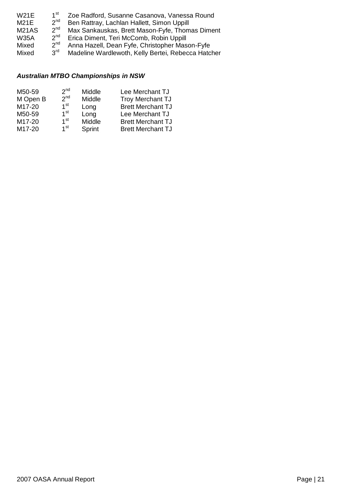| <b>W21E</b>  | 1 <sup>st</sup> | Zoe Radford, Susanne Casanova, Vanessa Round       |
|--------------|-----------------|----------------------------------------------------|
| <b>M21E</b>  | $2^{nd}$        | Ben Rattray, Lachlan Hallett, Simon Uppill         |
| <b>M21AS</b> | 2 <sup>nd</sup> | Max Sankauskas, Brett Mason-Fyfe, Thomas Diment    |
| <b>W35A</b>  | 2 <sup>nd</sup> | Erica Diment, Teri McComb, Robin Uppill            |
| Mixed        | 2 <sup>nd</sup> | Anna Hazell, Dean Fyfe, Christopher Mason-Fyfe     |
| Mixed        | $3^{\text{rd}}$ | Madeline Wardlewoth, Kelly Bertei, Rebecca Hatcher |

## *Australian MTBO Championships in NSW*

| M50-59   | 2 <sup>nd</sup> | Middle | Lee Merchant TJ          |
|----------|-----------------|--------|--------------------------|
| M Open B | 2 <sub>nd</sub> | Middle | <b>Troy Merchant TJ</b>  |
| M17-20   | 1 <sup>st</sup> | Long   | <b>Brett Merchant TJ</b> |
| M50-59   | 1 <sup>st</sup> | Long   | Lee Merchant TJ          |
| M17-20   | 1 <sup>st</sup> | Middle | <b>Brett Merchant TJ</b> |
| M17-20   | 1 <sup>st</sup> | Sprint | <b>Brett Merchant TJ</b> |